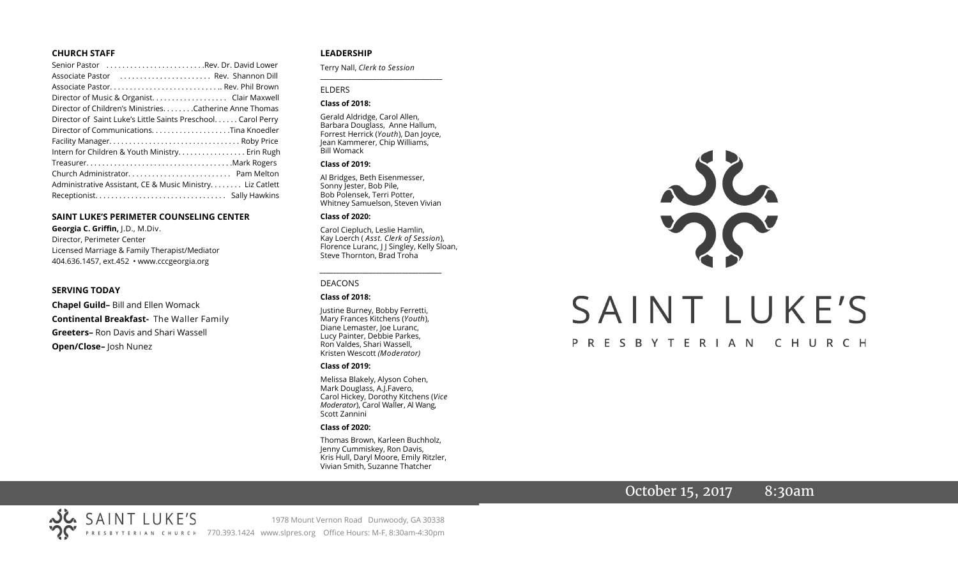#### **CHURCH STAFF**

| Senior Pastor Rev. Dr. David Lower                           |
|--------------------------------------------------------------|
| Associate Pastor  Rev. Shannon Dill                          |
|                                                              |
| Director of Music & Organist. Clair Maxwell                  |
| Director of Children's Ministries. Catherine Anne Thomas     |
| Director of Saint Luke's Little Saints Preschool Carol Perry |
| Director of CommunicationsTina Knoedler                      |
|                                                              |
| Intern for Children & Youth Ministry. Erin Rugh              |
|                                                              |
|                                                              |
| Administrative Assistant, CE & Music Ministry Liz Catlett    |
|                                                              |

#### **SAINT LUKE'S PERIMETER COUNSELING CENTER**

**Georgia C. Griffin,** J.D., M.Div. Director, Perimeter Center Licensed Marriage & Family Therapist/Mediator 404.636.1457, ext.452 • www.cccgeorgia.org

#### **SERVING TODAY**

**Chapel Guild–** Bill and Ellen Womack **Continental Breakfast-** The Waller Family **Greeters–** Ron Davis and Shari Wassell **Open/Close–** Josh Nunez

#### **LEADERSHIP**

Terry Nall, *Clerk to Session* 

#### ELDERS

#### **Class of 2018:**

Gerald Aldridge, Carol Allen, Barbara Douglass, Anne Hallum, Forrest Herrick (*Youth*), Dan Joyce, Jean Kammerer, Chip Williams, Bill Womack

**\_\_\_\_\_\_\_\_\_\_\_\_\_\_\_\_\_\_\_\_\_\_\_\_\_\_\_\_\_\_\_\_\_\_\_\_\_\_\_**

#### **Class of 2019:**

Al Bridges, Beth Eisenmesser, Sonny Jester, Bob Pile, Bob Polensek, Terri Potter, Whitney Samuelson, Steven Vivian

#### **Class of 2020:**

Carol Ciepluch, Leslie Hamlin, Kay Loerch ( *Asst. Clerk of Session*), Florence Luranc, J J Singley, Kelly Sloan, Steve Thornton, Brad Troha

*\_\_\_\_\_\_\_\_\_\_\_\_\_\_\_\_\_\_\_\_\_\_\_\_\_\_\_\_\_\_\_\_\_\_\_\_\_*

#### DEACONS

#### **Class of 2018:**

Justine Burney, Bobby Ferretti, Mary Frances Kitchens (*Youth*), Diane Lemaster, Joe Luranc, Lucy Painter, Debbie Parkes, Ron Valdes, Shari Wassell, Kristen Wescott *(Moderator)*

#### **Class of 2019:**

Melissa Blakely, Alyson Cohen, Mark Douglass, A.J.Favero, Carol Hickey, Dorothy Kitchens (*Vice Moderator*), Carol Waller, Al Wang, Scott Zannini

#### **Class of 2020:**

Thomas Brown, Karleen Buchholz, Jenny Cummiskey, Ron Davis, Kris Hull, Daryl Moore, Emily Ritzler, Vivian Smith, Suzanne Thatcher

# JL SAINT LUKE'S PRESBYTERIAN CHURCH

# October 15, 2017 8:30am

SAINT LUKE'S 1978 Mount Vernon Road Dunwoody, GA 30338 PRESBYTERIAN CHURCH 770.393.1424 www.slpres.org Office Hours: M-F, 8:30am-4:30pm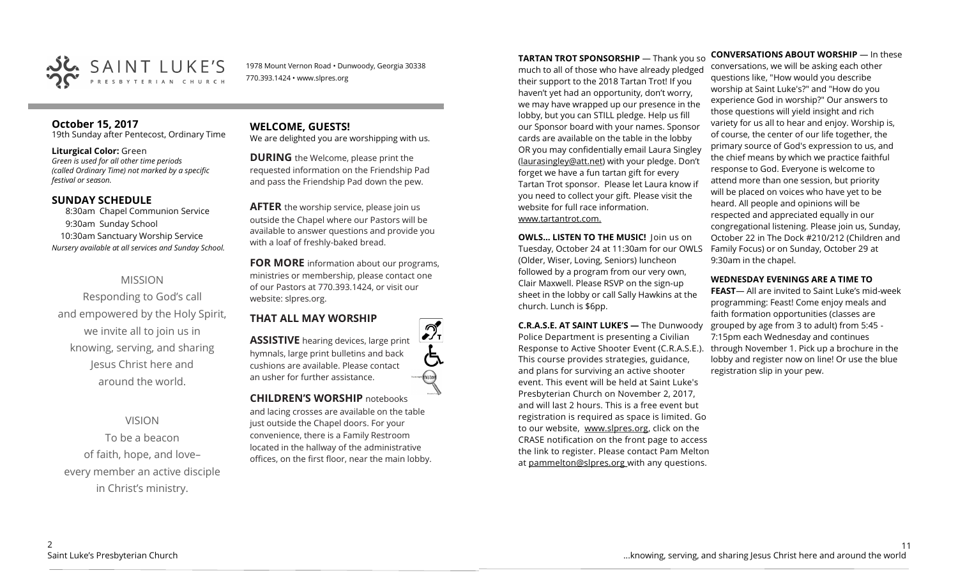

1978 Mount Vernon Road • Dunwoody, Georgia 30338 770.393.1424 • www.slpres.org

#### **October 15, 2017**  19th Sunday after Pentecost, Ordinary Time

#### **Liturgical Color:** Green

*Green is used for all other time periods (called Ordinary Time) not marked by a specific festival or season.* 

#### **SUNDAY SCHEDULE**

8:30am Chapel Communion Service 9:30am Sunday School 10:30am Sanctuary Worship Service *Nursery available at all services and Sunday School.*

## MISSION

Responding to God's call and empowered by the Holy Spirit, we invite all to join us in knowing, serving, and sharing Jesus Christ here and around the world.

VISION To be a beacon of faith, hope, and love– every member an active disciple in Christ's ministry.

# **WELCOME, GUESTS!**

We are delighted you are worshipping with us.

**DURING** the Welcome, please print the requested information on the Friendship Pad and pass the Friendship Pad down the pew.

**AFTER** the worship service, please join us outside the Chapel where our Pastors will be available to answer questions and provide you with a loaf of freshly-baked bread.

**FOR MORE** information about our programs, ministries or membership, please contact one of our Pastors at 770.393.1424, or visit our website: slpres.org.

# **THAT ALL MAY WORSHIP**

**ASSISTIVE** hearing devices, large print hymnals, large print bulletins and back cushions are available. Please contact an usher for further assistance.

**CHILDREN'S WORSHIP** notebooks and lacing crosses are available on the table just outside the Chapel doors. For your convenience, there is a Family Restroom located in the hallway of the administrative offices, on the first floor, near the main lobby. **TARTAN TROT SPONSORSHIP** — Thank you so much to all of those who have already pledged their support to the 2018 Tartan Trot! If you haven't yet had an opportunity, don't worry, we may have wrapped up our presence in the lobby, but you can STILL pledge. Help us fill our Sponsor board with your names. Sponsor cards are available on the table in the lobby OR you may confidentially email Laura Singley [\(laurasingley@att.net\)](mailto:laurasingley@att.net) with your pledge. Don't forget we have a fun tartan gift for every Tartan Trot sponsor. Please let Laura know if you need to collect your gift. Please visit the website for full race information. www.tartantrot.com.

**OWLS... LISTEN TO THE MUSIC!** Join us on Tuesday, October 24 at 11:30am for our OWLS (Older, Wiser, Loving, Seniors) luncheon followed by a program from our very own, Clair Maxwell. Please RSVP on the sign-up sheet in the lobby or call Sally Hawkins at the church. Lunch is \$6pp.

**C.R.A.S.E. AT SAINT LUKE'S —** The Dunwoody Police Department is presenting a Civilian Response to Active Shooter Event (C.R.A.S.E.). This course provides strategies, guidance, and plans for surviving an active shooter event. This event will be held at Saint Luke's Presbyterian Church on November 2, 2017, and will last 2 hours. This is a free event but registration is required as space is limited. Go to our website, www.slpres.org, click on the CRASE notification on the front page to access the link to register. Please contact Pam Melton at pammelton@slpres.org with any questions.

**CONVERSATIONS ABOUT WORSHIP** — In these conversations, we will be asking each other questions like, "How would you describe worship at Saint Luke's?" and "How do you experience God in worship?" Our answers to those questions will yield insight and rich variety for us all to hear and enjoy. Worship is, of course, the center of our life together, the primary source of God's expression to us, and the chief means by which we practice faithful response to God. Everyone is welcome to attend more than one session, but priority will be placed on voices who have yet to be heard. All people and opinions will be respected and appreciated equally in our congregational listening. Please join us, Sunday, October 22 in The Dock #210/212 (Children and Family Focus) or on Sunday, October 29 at 9:30am in the chapel.

#### **WEDNESDAY EVENINGS ARE A TIME TO**

**FEAST**— All are invited to Saint Luke's mid-week programming: Feast! Come enjoy meals and faith formation opportunities (classes are grouped by age from 3 to adult) from 5:45 - 7:15pm each Wednesday and continues through November 1. Pick up a brochure in the lobby and register now on line! Or use the blue registration slip in your pew.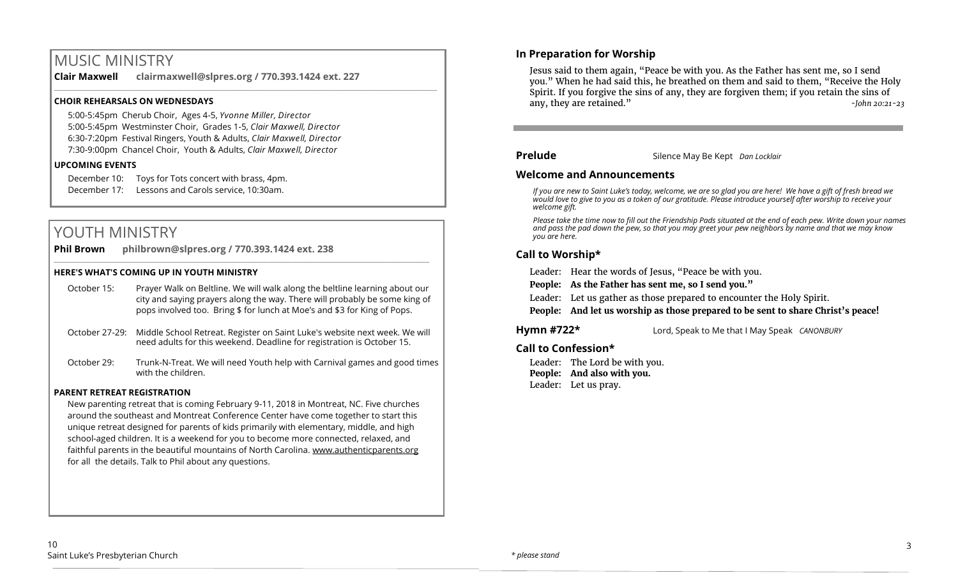# MUSIC MINISTRY

**Clair Maxwell clairmaxwell@slpres.org / 770.393.1424 ext. 227**  \_\_\_\_\_\_\_\_\_\_\_\_\_\_\_\_\_\_\_\_\_\_\_\_\_\_\_\_\_\_\_\_\_\_\_\_\_\_\_\_\_\_\_\_\_\_\_\_\_\_\_\_\_\_\_\_\_\_\_\_\_\_\_\_\_\_\_\_\_\_\_\_\_\_\_\_\_\_\_\_\_\_\_\_\_\_\_\_\_\_\_\_\_\_\_\_\_\_\_\_

#### **CHOIR REHEARSALS ON WEDNESDAYS**

5:00-5:45pm Cherub Choir, Ages 4-5, *Yvonne Miller, Director*  5:00-5:45pm Westminster Choir, Grades 1-5, *Clair Maxwell, Director*  6:30-7:20pm Festival Ringers, Youth & Adults, *Clair Maxwell, Director*  7:30-9:00pm Chancel Choir, Youth & Adults, *Clair Maxwell, Director*

#### **UPCOMING EVENTS**

December 10: Toys for Tots concert with brass, 4pm. December 17: Lessons and Carols service, 10:30am.

# YOUTH MINISTRY

**Phil Brown philbrown@slpres.org / 770.393.1424 ext. 238** 

#### **HERE'S WHAT'S COMING UP IN YOUTH MINISTRY**

October 15: Prayer Walk on Beltline. We will walk along the beltline learning about our city and saying prayers along the way. There will probably be some king of pops involved too. Bring \$ for lunch at Moe's and \$3 for King of Pops.

 $\_$  , and the state of the state of the state of the state of the state of the state of the state of the state of the state of the state of the state of the state of the state of the state of the state of the state of the

- October 27-29: Middle School Retreat. Register on Saint Luke's website next week. We will need adults for this weekend. Deadline for registration is October 15.
- October 29: Trunk-N-Treat. We will need Youth help with Carnival games and good times with the children.

#### **PARENT RETREAT REGISTRATION**

New parenting retreat that is coming February 9-11, 2018 in Montreat, NC. Five churches around the southeast and Montreat Conference Center have come together to start this unique retreat designed for parents of kids primarily with elementary, middle, and high school-aged children. It is a weekend for you to become more connected, relaxed, and faithful parents in the beautiful mountains of North Carolina. [www.authenticparents.org](http://www.authenticparents.org)  for all the details. Talk to Phil about any questions.

#### **In Preparation for Worship**

Jesus said to them again, "Peace be with you. As the Father has sent me, so I send you." When he had said this, he breathed on them and said to them, "Receive the Holy Spirit. If you forgive the sins of any, they are forgiven them; if you retain the sins of any, they are retained." *-John 20:21-23*

#### **Prelude** Silence May Be Kept *Dan Locklair*

#### **Welcome and Announcements**

*If you are new to Saint Luke's today, welcome, we are so glad you are here! We have a gift of fresh bread we would love to give to you as a token of our gratitude. Please introduce yourself after worship to receive your welcome gift.*

*Please take the time now to fill out the Friendship Pads situated at the end of each pew. Write down your names and pass the pad down the pew, so that you may greet your pew neighbors by name and that we may know you are here.*

#### **Call to Worship\***

Leader: Hear the words of Jesus, "Peace be with you.

**People: As the Father has sent me, so I send you."**

Leader: Let us gather as those prepared to encounter the Holy Spirit.

**People: And let us worship as those prepared to be sent to share Christ's peace!**

**Hymn #722\*** Lord, Speak to Me that I May Speak *CANONBURY*

#### **Call to Confession\***

Leader: The Lord be with you. **People: And also with you.** Leader: Let us pray.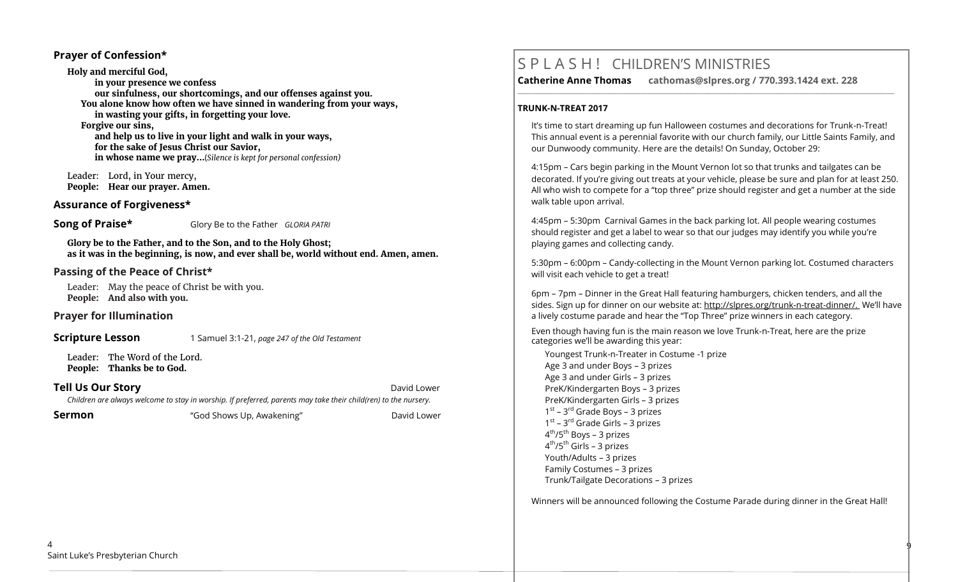#### **Prayer of Confession\***

**Holy and merciful God, in your presence we confess our sinfulness, our shortcomings, and our offenses against you. You alone know how often we have sinned in wandering from your ways, in wasting your gifts, in forgetting your love. Forgive our sins, and help us to live in your light and walk in your ways, for the sake of Jesus Christ our Savior, in whose name we pray…**(*Silence is kept for personal confession)* 

 Leader: Lord, in Your mercy, **People: Hear our prayer. Amen.**

#### **Assurance of Forgiveness\***

**Song of Praise\*** Glory Be to the Father *GLORIA PATRI* 

**Glory be to the Father, and to the Son, and to the Holy Ghost; as it was in the beginning, is now, and ever shall be, world without end. Amen, amen.**

#### **Passing of the Peace of Christ\***

Leader: May the peace of Christ be with you. **People: And also with you.**

**Prayer for Illumination** 

**Scripture Lesson** 1 Samuel 3:1-21, *page 247 of the Old Testament* 

Leader: The Word of the Lord. **People: Thanks be to God.**

**Tell Us Our Story David Lower** *David Lower**David Lower**David Lower Children are always welcome to stay in worship. If preferred, parents may take their child(ren) to the nursery.*

**Sermon** The "God Shows Up, Awakening" The David Lower

# S P L A S H ! CHILDREN'S MINISTRIES

**Catherine Anne Thomas cathomas@slpres.org / 770.393.1424 ext. 228 \_\_\_\_\_\_\_\_\_\_\_\_\_\_\_\_\_\_\_\_\_\_\_\_\_\_\_\_\_\_\_\_\_\_\_\_\_\_\_\_\_\_\_\_\_\_\_\_\_\_\_\_\_\_\_\_\_\_\_\_\_\_\_\_\_\_\_\_\_\_\_\_\_\_\_\_\_\_\_\_\_\_\_\_\_\_\_\_\_\_\_\_\_\_\_\_\_\_\_\_\_\_\_\_\_\_\_** 

#### **TRUNK-N-TREAT 2017**

It's time to start dreaming up fun Halloween costumes and decorations for Trunk-n-Treat! This annual event is a perennial favorite with our church family, our Little Saints Family, and our Dunwoody community. Here are the details! On Sunday, October 29:

4:15pm – Cars begin parking in the Mount Vernon lot so that trunks and tailgates can be decorated. If you're giving out treats at your vehicle, please be sure and plan for at least 250. All who wish to compete for a "top three" prize should register and get a number at the side walk table upon arrival.

4:45pm – 5:30pm Carnival Games in the back parking lot. All people wearing costumes should register and get a label to wear so that our judges may identify you while you're playing games and collecting candy.

5:30pm – 6:00pm – Candy-collecting in the Mount Vernon parking lot. Costumed characters will visit each vehicle to get a treat!

6pm – 7pm – Dinner in the Great Hall featuring hamburgers, chicken tenders, and all the sides. Sign up for dinner on our website at: http://slpres.org/trunk-n-treat-dinner/. We'll have a lively costume parade and hear the "Top Three" prize winners in each category.

Even though having fun is the main reason we love Trunk-n-Treat, here are the prize categories we'll be awarding this year:

Youngest Trunk-n-Treater in Costume -1 prize Age 3 and under Boys – 3 prizes Age 3 and under Girls – 3 prizes PreK/Kindergarten Boys – 3 prizes PreK/Kindergarten Girls – 3 prizes 1<sup>st</sup> – 3<sup>rd</sup> Grade Boys – 3 prizes 1<sup>st</sup> – 3<sup>rd</sup> Grade Girls – 3 prizes 4<sup>th</sup>/5<sup>th</sup> Boys – 3 prizes 4<sup>th</sup>/5<sup>th</sup> Girls – 3 prizes Youth/Adults – 3 prizes Family Costumes – 3 prizes Trunk/Tailgate Decorations – 3 prizes

Winners will be announced following the Costume Parade during dinner in the Great Hall!

9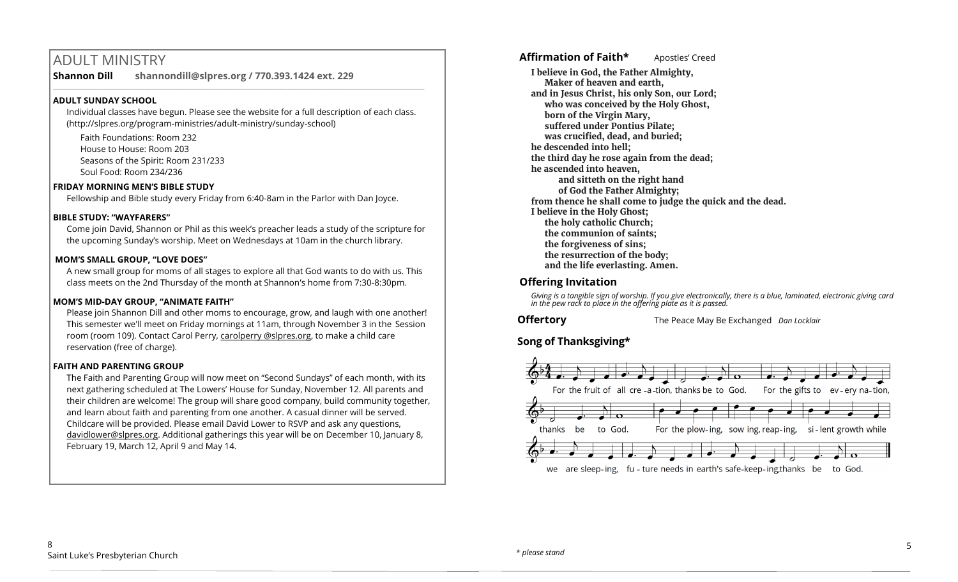# ADULT MINISTRY

**Shannon Dill shannondill@slpres.org / 770.393.1424 ext. 229** 

#### **ADULT SUNDAY SCHOOL**

Individual classes have begun. Please see the website for a full description of each class. (http://slpres.org/program-ministries/adult-ministry/sunday-school)

 $\_$  ,  $\_$  ,  $\_$  ,  $\_$  ,  $\_$  ,  $\_$  ,  $\_$  ,  $\_$  ,  $\_$  ,  $\_$  ,  $\_$  ,  $\_$  ,  $\_$  ,  $\_$  ,  $\_$  ,  $\_$  ,  $\_$  ,  $\_$  ,  $\_$ 

Faith Foundations: Room 232 House to House: Room 203 Seasons of the Spirit: Room 231/233 Soul Food: Room 234/236

#### **FRIDAY MORNING MEN'S BIBLE STUDY**

Fellowship and Bible study every Friday from 6:40-8am in the Parlor with Dan Joyce.

#### **BIBLE STUDY: "WAYFARERS"**

Come join David, Shannon or Phil as this week's preacher leads a study of the scripture for the upcoming Sunday's worship. Meet on Wednesdays at 10am in the church library.

#### **MOM'S SMALL GROUP, "LOVE DOES"**

A new small group for moms of all stages to explore all that God wants to do with us. This class meets on the 2nd Thursday of the month at Shannon's home from 7:30-8:30pm.

#### **MOM'S MID-DAY GROUP, "ANIMATE FAITH"**

Please join Shannon Dill and other moms to encourage, grow, and laugh with one another! This semester we'll meet on Friday mornings at 11am, through November 3 in the Session room (room 109). Contact Carol Perry, carolperry @slpres.org, to make a child care reservation (free of charge).

#### **FAITH AND PARENTING GROUP**

The Faith and Parenting Group will now meet on "Second Sundays" of each month, with its next gathering scheduled at The Lowers' House for Sunday, November 12. All parents and their children are welcome! The group will share good company, build community together, and learn about faith and parenting from one another. A casual dinner will be served. Childcare will be provided. Please email David Lower to RSVP and ask any questions, [davidlower@slpres.org.](mailto:davidlower@slpres.org) Additional gatherings this year will be on December 10, January 8, February 19, March 12, April 9 and May 14.

**Affirmation of Faith\*** Apostles' Creed

**I believe in God, the Father Almighty, Maker of heaven and earth, and in Jesus Christ, his only Son, our Lord; who was conceived by the Holy Ghost, born of the Virgin Mary, suffered under Pontius Pilate; was crucified, dead, and buried; he descended into hell; the third day he rose again from the dead; he ascended into heaven, and sitteth on the right hand of God the Father Almighty; from thence he shall come to judge the quick and the dead. I believe in the Holy Ghost; the holy catholic Church; the communion of saints; the forgiveness of sins; the resurrection of the body; and the life everlasting. Amen.**

## **Offering Invitation**

*Giving is a tangible sign of worship. If you give electronically, there is a blue, laminated, electronic giving card in the pew rack to place in the offering plate as it is passed.*

**Offertory** The Peace May Be Exchanged *Dan Locklair*

**Song of Thanksgiving\***